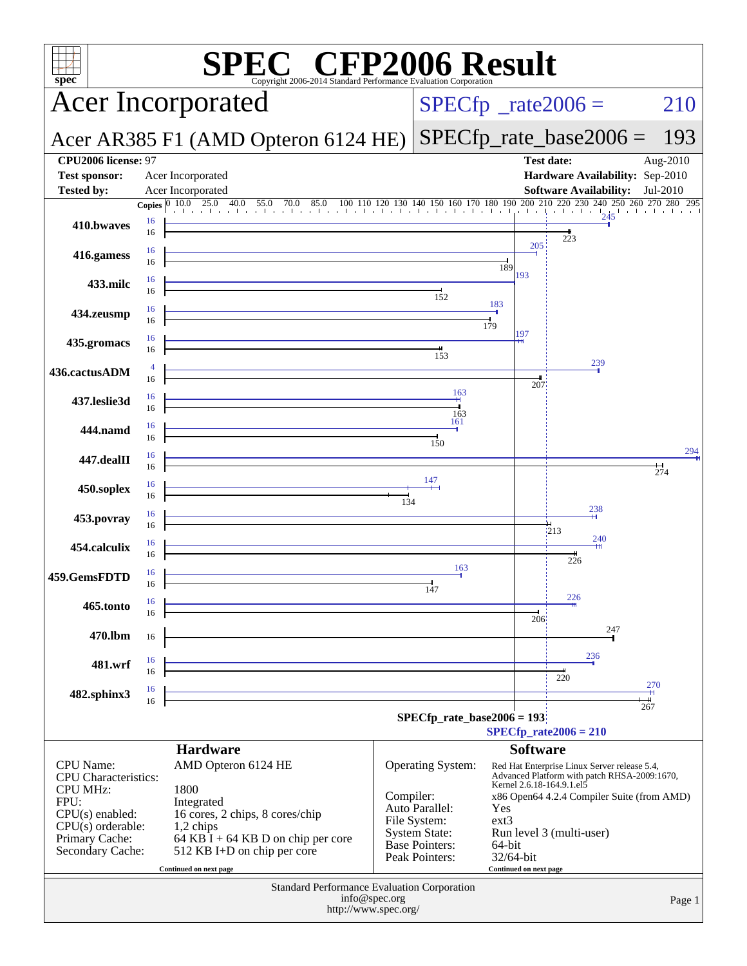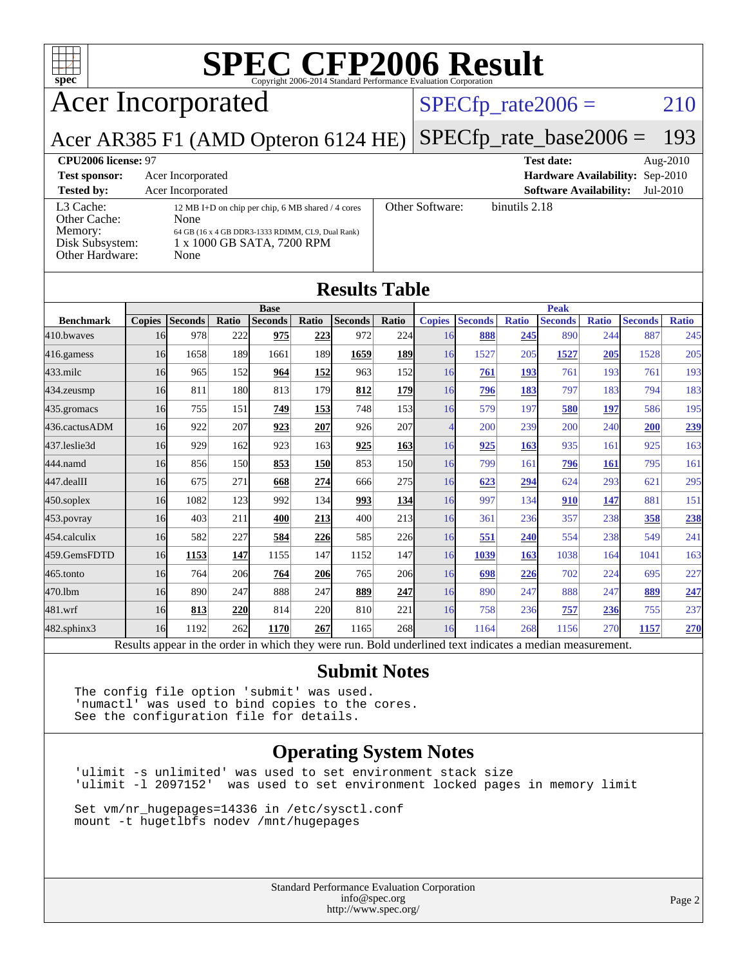

## Acer Incorporated

#### $SPECfp_rate2006 = 210$  $SPECfp_rate2006 = 210$

Acer AR385 F1 (AMD Opteron 6124 HE) [SPECfp\\_rate\\_base2006 =](http://www.spec.org/auto/cpu2006/Docs/result-fields.html#SPECfpratebase2006) 193

| CPU <sub>2006</sub> license: 97                                            |                                                                                                                                                      |                 | <b>Test date:</b><br>Aug- $2010$          |
|----------------------------------------------------------------------------|------------------------------------------------------------------------------------------------------------------------------------------------------|-----------------|-------------------------------------------|
| <b>Test sponsor:</b>                                                       | Acer Incorporated                                                                                                                                    |                 | Hardware Availability: Sep-2010           |
| <b>Tested by:</b>                                                          | Acer Incorporated                                                                                                                                    |                 | <b>Software Availability:</b><br>Jul-2010 |
| L3 Cache:<br>Other Cache:<br>Memory:<br>Disk Subsystem:<br>Other Hardware: | 12 MB I+D on chip per chip, 6 MB shared / 4 cores<br>None<br>64 GB (16 x 4 GB DDR3-1333 RDIMM, CL9, Dual Rank)<br>1 x 1000 GB SATA, 7200 RPM<br>None | Other Software: | binutils 2.18                             |

**[Results Table](http://www.spec.org/auto/cpu2006/Docs/result-fields.html#ResultsTable)**

|                  |               |                                                                                                          |       |                |            | Results Table |                  |                          |                |              |                |              |                |              |
|------------------|---------------|----------------------------------------------------------------------------------------------------------|-------|----------------|------------|---------------|------------------|--------------------------|----------------|--------------|----------------|--------------|----------------|--------------|
|                  | <b>Base</b>   |                                                                                                          |       |                |            |               | <b>Peak</b>      |                          |                |              |                |              |                |              |
| <b>Benchmark</b> | <b>Copies</b> | <b>Seconds</b>                                                                                           | Ratio | <b>Seconds</b> | Ratio      | Seconds       | Ratio            | <b>Copies</b>            | <b>Seconds</b> | <b>Ratio</b> | <b>Seconds</b> | <b>Ratio</b> | <b>Seconds</b> | <b>Ratio</b> |
| 410.bwayes       | 16            | 978                                                                                                      | 222   | 975            | 223        | 972           | 224              | 16                       | 888            | 245          | 890            | 244          | 887            | 245          |
| 416.gamess       | 16            | 1658                                                                                                     | 189   | 1661           | 189        | 1659          | <b>189</b>       | 16                       | 1527           | 205          | 1527           | 205          | 1528           | 205          |
| $433$ .milc      | 16            | 965                                                                                                      | 152   | 964            | 152        | 963           | 152              | 16                       | 761            | 193          | 761            | 193          | 761            | 193          |
| $434$ . zeusmp   | 16            | 811                                                                                                      | 180   | 813            | 179        | 812           | <b>179</b>       | 16                       | 796            | 183          | 797            | 183          | 794            | 183          |
| 435.gromacs      | 16            | 755                                                                                                      | 151   | 749            | 153        | 748           | 153 <sup>I</sup> | 16                       | 579            | 197          | 580            | 197          | 586            | 195          |
| 436.cactusADM    | 16            | 922                                                                                                      | 207   | 923            | 207        | 926           | 207              | $\overline{\mathcal{A}}$ | 200            | 239          | 200            | 240          | 200            | 239          |
| 437.leslie3d     | 16            | 929                                                                                                      | 162   | 923            | 163        | 925           | <u>163</u>       | 16                       | 925            | 163          | 935            | 161          | 925            | 163          |
| 444.namd         | 16            | 856                                                                                                      | 150   | 853            | <b>150</b> | 853           | 150              | 16                       | 799            | 161          | 796            | 161          | 795            | 161          |
| 447.dealII       | 16            | 675                                                                                                      | 271   | 668            | 274        | 666           | 275              | 16                       | 623            | 294          | 624            | 293          | 621            | 295          |
| $450$ .soplex    | 16            | 1082                                                                                                     | 123   | 992            | 134        | 993           | 134              | 16                       | 997            | 134          | 910            | 147          | 881            | 151          |
| $453$ .povray    | 16            | 403                                                                                                      | 211   | 400            | 213        | 400           | 213              | 16                       | 361            | 236          | 357            | 238          | 358            | 238          |
| 454.calculix     | 16            | 582                                                                                                      | 227   | 584            | 226        | 585           | 226              | 16                       | 551            | 240          | 554            | 238          | 549            | 241          |
| 459.GemsFDTD     | 16            | 1153                                                                                                     | 147   | 1155           | 147        | 1152          | 147              | 16                       | 1039           | 163          | 1038           | 164          | 1041           | 163          |
| $465$ .tonto     | 16            | 764                                                                                                      | 206   | 764            | 206        | 765           | 206              | 16                       | 698            | 226          | 702            | 224          | 695            | 227          |
| 470.1bm          | 16            | 890                                                                                                      | 247   | 888            | 247        | 889           | 247              | 16                       | 890            | 247          | 888            | 247          | 889            | 247          |
| 481.wrf          | 16            | 813                                                                                                      | 220   | 814            | 220        | 810           | 221              | 16                       | 758            | 236          | 757            | 236          | 755            | 237          |
| 482.sphinx3      | 16            | 1192                                                                                                     | 262   | 1170           | 267        | 1165          | <b>268</b>       | 16                       | 1164           | 268          | 1156           | 270          | 1157           | 270          |
|                  |               | Results appear in the order in which they were run. Bold underlined text indicates a median measurement. |       |                |            |               |                  |                          |                |              |                |              |                |              |

#### **[Submit Notes](http://www.spec.org/auto/cpu2006/Docs/result-fields.html#SubmitNotes)**

The config file option 'submit' was used. 'numactl' was used to bind copies to the cores. See the configuration file for details.

#### **[Operating System Notes](http://www.spec.org/auto/cpu2006/Docs/result-fields.html#OperatingSystemNotes)**

'ulimit -s unlimited' was used to set environment stack size 'ulimit -l 2097152' was used to set environment locked pages in memory limit

Set vm/nr\_hugepages=14336 in /etc/sysctl.conf mount -t hugetlbfs nodev /mnt/hugepages

> Standard Performance Evaluation Corporation [info@spec.org](mailto:info@spec.org) <http://www.spec.org/>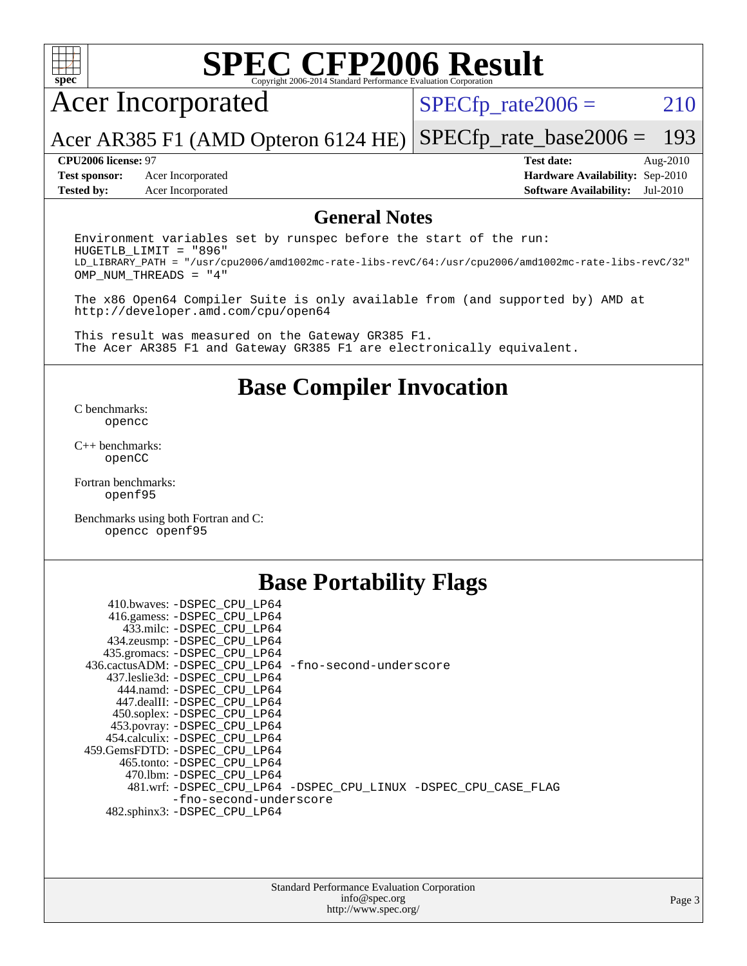

## Acer Incorporated

 $SPECTp_rate2006 = 210$ 

Acer AR385 F1 (AMD Opteron 6124 HE) [SPECfp\\_rate\\_base2006 =](http://www.spec.org/auto/cpu2006/Docs/result-fields.html#SPECfpratebase2006) 193

**[Test sponsor:](http://www.spec.org/auto/cpu2006/Docs/result-fields.html#Testsponsor)** Acer Incorporated **[Hardware Availability:](http://www.spec.org/auto/cpu2006/Docs/result-fields.html#HardwareAvailability)** Sep-2010 **[Tested by:](http://www.spec.org/auto/cpu2006/Docs/result-fields.html#Testedby)** Acer Incorporated **[Software Availability:](http://www.spec.org/auto/cpu2006/Docs/result-fields.html#SoftwareAvailability)** Jul-2010

**[CPU2006 license:](http://www.spec.org/auto/cpu2006/Docs/result-fields.html#CPU2006license)** 97 **[Test date:](http://www.spec.org/auto/cpu2006/Docs/result-fields.html#Testdate)** Aug-2010

#### **[General Notes](http://www.spec.org/auto/cpu2006/Docs/result-fields.html#GeneralNotes)**

Environment variables set by runspec before the start of the run: HUGETLB\_LIMIT = "896" LD\_LIBRARY\_PATH = "/usr/cpu2006/amd1002mc-rate-libs-revC/64:/usr/cpu2006/amd1002mc-rate-libs-revC/32" OMP\_NUM\_THREADS = "4"

The x86 Open64 Compiler Suite is only available from (and supported by) AMD at <http://developer.amd.com/cpu/open64>

This result was measured on the Gateway GR385 F1. The Acer AR385 F1 and Gateway GR385 F1 are electronically equivalent.

#### **[Base Compiler Invocation](http://www.spec.org/auto/cpu2006/Docs/result-fields.html#BaseCompilerInvocation)**

[C benchmarks](http://www.spec.org/auto/cpu2006/Docs/result-fields.html#Cbenchmarks): [opencc](http://www.spec.org/cpu2006/results/res2010q3/cpu2006-20100824-13056.flags.html#user_CCbase_Fopencc)

[C++ benchmarks:](http://www.spec.org/auto/cpu2006/Docs/result-fields.html#CXXbenchmarks) [openCC](http://www.spec.org/cpu2006/results/res2010q3/cpu2006-20100824-13056.flags.html#user_CXXbase_FopenCC)

[Fortran benchmarks](http://www.spec.org/auto/cpu2006/Docs/result-fields.html#Fortranbenchmarks): [openf95](http://www.spec.org/cpu2006/results/res2010q3/cpu2006-20100824-13056.flags.html#user_FCbase_Fopenf95)

[Benchmarks using both Fortran and C](http://www.spec.org/auto/cpu2006/Docs/result-fields.html#BenchmarksusingbothFortranandC): [opencc](http://www.spec.org/cpu2006/results/res2010q3/cpu2006-20100824-13056.flags.html#user_CC_FCbase_Fopencc) [openf95](http://www.spec.org/cpu2006/results/res2010q3/cpu2006-20100824-13056.flags.html#user_CC_FCbase_Fopenf95)

#### **[Base Portability Flags](http://www.spec.org/auto/cpu2006/Docs/result-fields.html#BasePortabilityFlags)**

| 410.bwaves: -DSPEC CPU LP64                           |                                                                |
|-------------------------------------------------------|----------------------------------------------------------------|
| 416.gamess: -DSPEC_CPU_LP64                           |                                                                |
| 433.milc: -DSPEC CPU LP64                             |                                                                |
| 434.zeusmp: -DSPEC_CPU_LP64                           |                                                                |
| 435.gromacs: -DSPEC CPU LP64                          |                                                                |
| 436.cactusADM: -DSPEC CPU LP64 -fno-second-underscore |                                                                |
| 437.leslie3d: -DSPEC CPU LP64                         |                                                                |
| 444.namd: - DSPEC CPU LP64                            |                                                                |
| 447.dealII: -DSPEC CPU LP64                           |                                                                |
| 450.soplex: -DSPEC_CPU_LP64                           |                                                                |
| 453.povray: -DSPEC_CPU_LP64                           |                                                                |
| 454.calculix: -DSPEC CPU LP64                         |                                                                |
| 459.GemsFDTD: -DSPEC_CPU LP64                         |                                                                |
| 465.tonto: - DSPEC CPU LP64                           |                                                                |
| 470.1bm: - DSPEC CPU LP64                             |                                                                |
|                                                       | 481.wrf: -DSPEC_CPU_LP64 -DSPEC_CPU_LINUX -DSPEC_CPU_CASE_FLAG |
| -fno-second-underscore                                |                                                                |
| 482.sphinx3: -DSPEC_CPU_LP64                          |                                                                |
|                                                       |                                                                |

| <b>Standard Performance Evaluation Corporation</b> |
|----------------------------------------------------|
| info@spec.org                                      |
| http://www.spec.org/                               |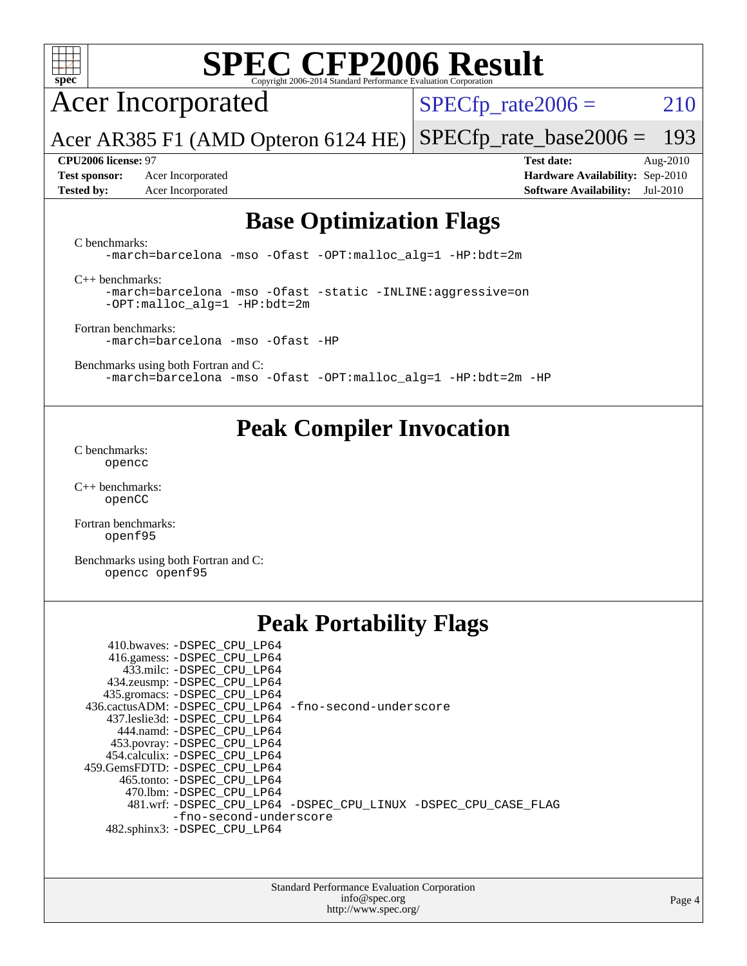

Acer Incorporated

 $SPECTp_rate2006 = 210$ 

Acer AR385 F1 (AMD Opteron 6124 HE) [SPECfp\\_rate\\_base2006 =](http://www.spec.org/auto/cpu2006/Docs/result-fields.html#SPECfpratebase2006) 193

**[Tested by:](http://www.spec.org/auto/cpu2006/Docs/result-fields.html#Testedby)** Acer Incorporated **[Software Availability:](http://www.spec.org/auto/cpu2006/Docs/result-fields.html#SoftwareAvailability)** Jul-2010

**[CPU2006 license:](http://www.spec.org/auto/cpu2006/Docs/result-fields.html#CPU2006license)** 97 **[Test date:](http://www.spec.org/auto/cpu2006/Docs/result-fields.html#Testdate)** Aug-2010 **[Test sponsor:](http://www.spec.org/auto/cpu2006/Docs/result-fields.html#Testsponsor)** Acer Incorporated **[Hardware Availability:](http://www.spec.org/auto/cpu2006/Docs/result-fields.html#HardwareAvailability)** Sep-2010

### **[Base Optimization Flags](http://www.spec.org/auto/cpu2006/Docs/result-fields.html#BaseOptimizationFlags)**

[C benchmarks](http://www.spec.org/auto/cpu2006/Docs/result-fields.html#Cbenchmarks):

[-march=barcelona](http://www.spec.org/cpu2006/results/res2010q3/cpu2006-20100824-13056.flags.html#user_CCbase_F-march_8ea39521cada96f307a04d0b8b9c6ffb) [-mso](http://www.spec.org/cpu2006/results/res2010q3/cpu2006-20100824-13056.flags.html#user_CCbase_F-mso) [-Ofast](http://www.spec.org/cpu2006/results/res2010q3/cpu2006-20100824-13056.flags.html#user_CCbase_F-Ofast) [-OPT:malloc\\_alg=1](http://www.spec.org/cpu2006/results/res2010q3/cpu2006-20100824-13056.flags.html#user_CCbase_F-OPT:malloc_algorithm_58733815edefaa612c2ed769b716daa0) [-HP:bdt=2m](http://www.spec.org/cpu2006/results/res2010q3/cpu2006-20100824-13056.flags.html#user_CCbase_F-HUGEPAGE_99eaea9f74400395f9f16774d1aed5d7)

[C++ benchmarks:](http://www.spec.org/auto/cpu2006/Docs/result-fields.html#CXXbenchmarks)

[-march=barcelona](http://www.spec.org/cpu2006/results/res2010q3/cpu2006-20100824-13056.flags.html#user_CXXbase_F-march_8ea39521cada96f307a04d0b8b9c6ffb) [-mso](http://www.spec.org/cpu2006/results/res2010q3/cpu2006-20100824-13056.flags.html#user_CXXbase_F-mso) [-Ofast](http://www.spec.org/cpu2006/results/res2010q3/cpu2006-20100824-13056.flags.html#user_CXXbase_F-Ofast) [-static](http://www.spec.org/cpu2006/results/res2010q3/cpu2006-20100824-13056.flags.html#user_CXXbase_F-static) [-INLINE:aggressive=on](http://www.spec.org/cpu2006/results/res2010q3/cpu2006-20100824-13056.flags.html#user_CXXbase_F-INLINE:aggressive_e14807c0a1e56a6a83cb25ab07c7ae8a) [-OPT:malloc\\_alg=1](http://www.spec.org/cpu2006/results/res2010q3/cpu2006-20100824-13056.flags.html#user_CXXbase_F-OPT:malloc_algorithm_58733815edefaa612c2ed769b716daa0) [-HP:bdt=2m](http://www.spec.org/cpu2006/results/res2010q3/cpu2006-20100824-13056.flags.html#user_CXXbase_F-HUGEPAGE_99eaea9f74400395f9f16774d1aed5d7)

[Fortran benchmarks](http://www.spec.org/auto/cpu2006/Docs/result-fields.html#Fortranbenchmarks): [-march=barcelona](http://www.spec.org/cpu2006/results/res2010q3/cpu2006-20100824-13056.flags.html#user_FCbase_F-march_8ea39521cada96f307a04d0b8b9c6ffb) [-mso](http://www.spec.org/cpu2006/results/res2010q3/cpu2006-20100824-13056.flags.html#user_FCbase_F-mso) [-Ofast](http://www.spec.org/cpu2006/results/res2010q3/cpu2006-20100824-13056.flags.html#user_FCbase_F-Ofast) [-HP](http://www.spec.org/cpu2006/results/res2010q3/cpu2006-20100824-13056.flags.html#user_FCbase_F-HUGEPAGE_5df7ddc958063186306345596c5e7dc3)

[Benchmarks using both Fortran and C](http://www.spec.org/auto/cpu2006/Docs/result-fields.html#BenchmarksusingbothFortranandC): [-march=barcelona](http://www.spec.org/cpu2006/results/res2010q3/cpu2006-20100824-13056.flags.html#user_CC_FCbase_F-march_8ea39521cada96f307a04d0b8b9c6ffb) [-mso](http://www.spec.org/cpu2006/results/res2010q3/cpu2006-20100824-13056.flags.html#user_CC_FCbase_F-mso) [-Ofast](http://www.spec.org/cpu2006/results/res2010q3/cpu2006-20100824-13056.flags.html#user_CC_FCbase_F-Ofast) [-OPT:malloc\\_alg=1](http://www.spec.org/cpu2006/results/res2010q3/cpu2006-20100824-13056.flags.html#user_CC_FCbase_F-OPT:malloc_algorithm_58733815edefaa612c2ed769b716daa0) [-HP:bdt=2m](http://www.spec.org/cpu2006/results/res2010q3/cpu2006-20100824-13056.flags.html#user_CC_FCbase_F-HUGEPAGE_99eaea9f74400395f9f16774d1aed5d7) [-HP](http://www.spec.org/cpu2006/results/res2010q3/cpu2006-20100824-13056.flags.html#user_CC_FCbase_F-HUGEPAGE_5df7ddc958063186306345596c5e7dc3)

### **[Peak Compiler Invocation](http://www.spec.org/auto/cpu2006/Docs/result-fields.html#PeakCompilerInvocation)**

[C benchmarks](http://www.spec.org/auto/cpu2006/Docs/result-fields.html#Cbenchmarks): [opencc](http://www.spec.org/cpu2006/results/res2010q3/cpu2006-20100824-13056.flags.html#user_CCpeak_Fopencc)

[C++ benchmarks:](http://www.spec.org/auto/cpu2006/Docs/result-fields.html#CXXbenchmarks) [openCC](http://www.spec.org/cpu2006/results/res2010q3/cpu2006-20100824-13056.flags.html#user_CXXpeak_FopenCC)

[Fortran benchmarks](http://www.spec.org/auto/cpu2006/Docs/result-fields.html#Fortranbenchmarks): [openf95](http://www.spec.org/cpu2006/results/res2010q3/cpu2006-20100824-13056.flags.html#user_FCpeak_Fopenf95)

[Benchmarks using both Fortran and C](http://www.spec.org/auto/cpu2006/Docs/result-fields.html#BenchmarksusingbothFortranandC): [opencc](http://www.spec.org/cpu2006/results/res2010q3/cpu2006-20100824-13056.flags.html#user_CC_FCpeak_Fopencc) [openf95](http://www.spec.org/cpu2006/results/res2010q3/cpu2006-20100824-13056.flags.html#user_CC_FCpeak_Fopenf95)

### **[Peak Portability Flags](http://www.spec.org/auto/cpu2006/Docs/result-fields.html#PeakPortabilityFlags)**

| 410.bwaves: -DSPEC CPU LP64                           |                                                                |
|-------------------------------------------------------|----------------------------------------------------------------|
| 416.gamess: -DSPEC_CPU_LP64                           |                                                                |
| 433.milc: -DSPEC CPU LP64                             |                                                                |
| 434.zeusmp: -DSPEC_CPU_LP64                           |                                                                |
| 435.gromacs: -DSPEC_CPU_LP64                          |                                                                |
| 436.cactusADM: -DSPEC CPU LP64 -fno-second-underscore |                                                                |
| 437.leslie3d: -DSPEC CPU LP64                         |                                                                |
| 444.namd: -DSPEC CPU LP64                             |                                                                |
| 453.povray: -DSPEC_CPU_LP64                           |                                                                |
| 454.calculix: -DSPEC CPU LP64                         |                                                                |
| 459.GemsFDTD: -DSPEC CPU LP64                         |                                                                |
| 465.tonto: - DSPEC CPU LP64                           |                                                                |
| 470.1bm: - DSPEC CPU LP64                             |                                                                |
|                                                       | 481.wrf: -DSPEC_CPU_LP64 -DSPEC_CPU_LINUX -DSPEC_CPU_CASE_FLAG |
| -fno-second-underscore                                |                                                                |
| 482.sphinx3: -DSPEC CPU LP64                          |                                                                |

Standard Performance Evaluation Corporation [info@spec.org](mailto:info@spec.org) <http://www.spec.org/>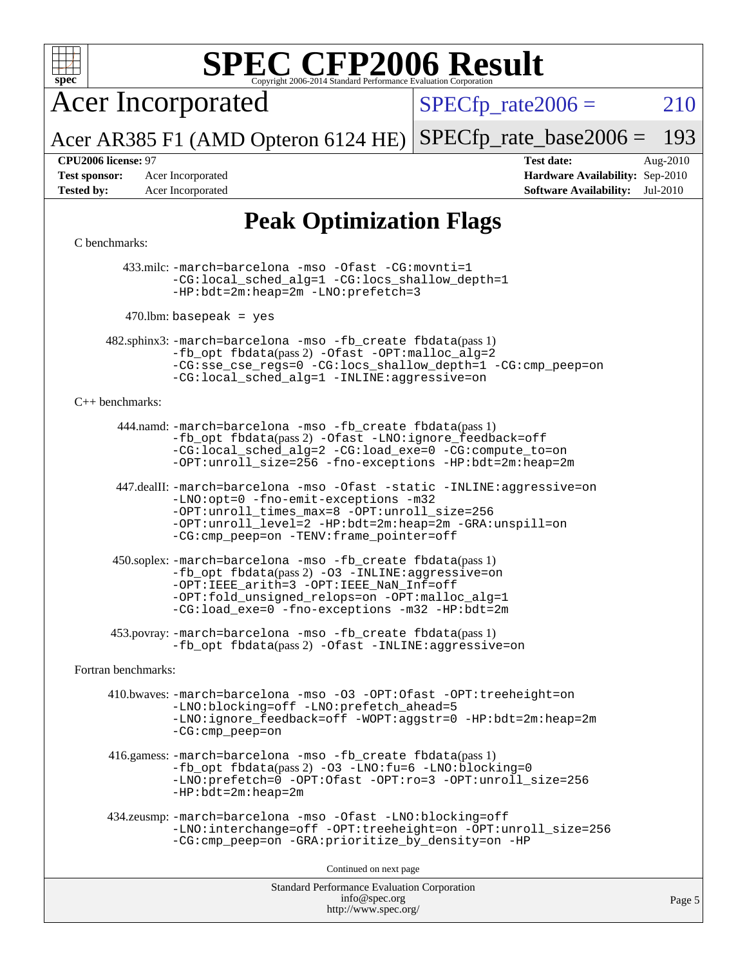

Acer Incorporated

 $SPECTp_rate2006 = 210$ 

Acer AR385 F1 (AMD Opteron 6124 HE) [SPECfp\\_rate\\_base2006 =](http://www.spec.org/auto/cpu2006/Docs/result-fields.html#SPECfpratebase2006) 193

**[Test sponsor:](http://www.spec.org/auto/cpu2006/Docs/result-fields.html#Testsponsor)** Acer Incorporated **[Hardware Availability:](http://www.spec.org/auto/cpu2006/Docs/result-fields.html#HardwareAvailability)** Sep-2010

**[CPU2006 license:](http://www.spec.org/auto/cpu2006/Docs/result-fields.html#CPU2006license)** 97 **[Test date:](http://www.spec.org/auto/cpu2006/Docs/result-fields.html#Testdate)** Aug-2010 **[Tested by:](http://www.spec.org/auto/cpu2006/Docs/result-fields.html#Testedby)** Acer Incorporated **[Software Availability:](http://www.spec.org/auto/cpu2006/Docs/result-fields.html#SoftwareAvailability)** Jul-2010

### **[Peak Optimization Flags](http://www.spec.org/auto/cpu2006/Docs/result-fields.html#PeakOptimizationFlags)**

#### [C benchmarks](http://www.spec.org/auto/cpu2006/Docs/result-fields.html#Cbenchmarks):

 433.milc: [-march=barcelona](http://www.spec.org/cpu2006/results/res2010q3/cpu2006-20100824-13056.flags.html#user_peakCCLD433_milc_F-march_8ea39521cada96f307a04d0b8b9c6ffb) [-mso](http://www.spec.org/cpu2006/results/res2010q3/cpu2006-20100824-13056.flags.html#user_peakCCLD433_milc_F-mso) [-Ofast](http://www.spec.org/cpu2006/results/res2010q3/cpu2006-20100824-13056.flags.html#user_peakCOPTIMIZE433_milc_F-Ofast) [-CG:movnti=1](http://www.spec.org/cpu2006/results/res2010q3/cpu2006-20100824-13056.flags.html#user_peakCOPTIMIZE433_milc_F-CG:movnti_c5191dc1f6da57382570e339f0143b6b) [-CG:local\\_sched\\_alg=1](http://www.spec.org/cpu2006/results/res2010q3/cpu2006-20100824-13056.flags.html#user_peakCOPTIMIZE433_milc_F-CG:local_sched_alg_2175ca61f1a2717f1ec57b14995b9e7a) [-CG:locs\\_shallow\\_depth=1](http://www.spec.org/cpu2006/results/res2010q3/cpu2006-20100824-13056.flags.html#user_peakCOPTIMIZE433_milc_F-CG:locs_shallow_depth_ec0a53d3def1c53dcd5985fc16cc23f2) [-HP:bdt=2m:heap=2m](http://www.spec.org/cpu2006/results/res2010q3/cpu2006-20100824-13056.flags.html#user_peakCOPTIMIZE433_milc_F-HUGEPAGE_855e97383b49831f390a2af16fe7202f) [-LNO:prefetch=3](http://www.spec.org/cpu2006/results/res2010q3/cpu2006-20100824-13056.flags.html#user_peakCOPTIMIZE433_milc_F-LNO:prefetch_73b5a9400a8f80d6e23f06aa34f07c5f)

 $470$ .lbm: basepeak = yes

 482.sphinx3: [-march=barcelona](http://www.spec.org/cpu2006/results/res2010q3/cpu2006-20100824-13056.flags.html#user_peakCCLD482_sphinx3_F-march_8ea39521cada96f307a04d0b8b9c6ffb) [-mso](http://www.spec.org/cpu2006/results/res2010q3/cpu2006-20100824-13056.flags.html#user_peakCCLD482_sphinx3_F-mso) [-fb\\_create fbdata](http://www.spec.org/cpu2006/results/res2010q3/cpu2006-20100824-13056.flags.html#user_peakPASS1_CFLAGSPASS1_LDFLAGS482_sphinx3_F-fb_create_filename)(pass 1) [-fb\\_opt fbdata](http://www.spec.org/cpu2006/results/res2010q3/cpu2006-20100824-13056.flags.html#user_peakPASS2_CFLAGSPASS2_LDFLAGS482_sphinx3_F-fb_opt_filename)(pass 2) [-Ofast](http://www.spec.org/cpu2006/results/res2010q3/cpu2006-20100824-13056.flags.html#user_peakCOPTIMIZE482_sphinx3_F-Ofast) [-OPT:malloc\\_alg=2](http://www.spec.org/cpu2006/results/res2010q3/cpu2006-20100824-13056.flags.html#user_peakCOPTIMIZE482_sphinx3_F-OPT:malloc_algorithm_e62903d0840423b2a5cd674766328c33) [-CG:sse\\_cse\\_regs=0](http://www.spec.org/cpu2006/results/res2010q3/cpu2006-20100824-13056.flags.html#user_peakCOPTIMIZE482_sphinx3_F-CG:sse_cse_regs_7df8d7006fcaae90aa34e4c541216ae1) [-CG:locs\\_shallow\\_depth=1](http://www.spec.org/cpu2006/results/res2010q3/cpu2006-20100824-13056.flags.html#user_peakCOPTIMIZE482_sphinx3_F-CG:locs_shallow_depth_ec0a53d3def1c53dcd5985fc16cc23f2) [-CG:cmp\\_peep=on](http://www.spec.org/cpu2006/results/res2010q3/cpu2006-20100824-13056.flags.html#user_peakCOPTIMIZE482_sphinx3_F-CG:cmp_peep_ab90c979e95bee1f1f617a32622424ed) [-CG:local\\_sched\\_alg=1](http://www.spec.org/cpu2006/results/res2010q3/cpu2006-20100824-13056.flags.html#user_peakCOPTIMIZE482_sphinx3_F-CG:local_sched_alg_2175ca61f1a2717f1ec57b14995b9e7a) [-INLINE:aggressive=on](http://www.spec.org/cpu2006/results/res2010q3/cpu2006-20100824-13056.flags.html#user_peakCOPTIMIZE482_sphinx3_F-INLINE:aggressive_e14807c0a1e56a6a83cb25ab07c7ae8a)

#### [C++ benchmarks:](http://www.spec.org/auto/cpu2006/Docs/result-fields.html#CXXbenchmarks)

 444.namd: [-march=barcelona](http://www.spec.org/cpu2006/results/res2010q3/cpu2006-20100824-13056.flags.html#user_peakCXXLD444_namd_F-march_8ea39521cada96f307a04d0b8b9c6ffb) [-mso](http://www.spec.org/cpu2006/results/res2010q3/cpu2006-20100824-13056.flags.html#user_peakCXXLD444_namd_F-mso) [-fb\\_create fbdata](http://www.spec.org/cpu2006/results/res2010q3/cpu2006-20100824-13056.flags.html#user_peakPASS1_CXXFLAGSPASS1_LDFLAGS444_namd_F-fb_create_filename)(pass 1) [-fb\\_opt fbdata](http://www.spec.org/cpu2006/results/res2010q3/cpu2006-20100824-13056.flags.html#user_peakPASS2_CXXFLAGSPASS2_LDFLAGS444_namd_F-fb_opt_filename)(pass 2) [-Ofast](http://www.spec.org/cpu2006/results/res2010q3/cpu2006-20100824-13056.flags.html#user_peakCXXOPTIMIZE444_namd_F-Ofast) [-LNO:ignore\\_feedback=off](http://www.spec.org/cpu2006/results/res2010q3/cpu2006-20100824-13056.flags.html#user_peakCXXOPTIMIZE444_namd_F-LNO:ignore_feedback_1d6d06f39185b277a955c10dfd0a9a73) [-CG:local\\_sched\\_alg=2](http://www.spec.org/cpu2006/results/res2010q3/cpu2006-20100824-13056.flags.html#user_peakCXXOPTIMIZE444_namd_F-CG:local_sched_alg_7e9cde87db6e5e7117cdd873e1f958ca) [-CG:load\\_exe=0](http://www.spec.org/cpu2006/results/res2010q3/cpu2006-20100824-13056.flags.html#user_peakCXXOPTIMIZE444_namd_F-CG:load_exe_274d025dc8e91b4834366e9e44cd78e3) [-CG:compute\\_to=on](http://www.spec.org/cpu2006/results/res2010q3/cpu2006-20100824-13056.flags.html#user_peakCXXOPTIMIZE444_namd_F-CG:compute_to_596c30b399a79f0675b006ae34a185eb) [-OPT:unroll\\_size=256](http://www.spec.org/cpu2006/results/res2010q3/cpu2006-20100824-13056.flags.html#user_peakCXXOPTIMIZE444_namd_F-OPT:unroll_size_dfa492f42f50f580c3837c8b22d14f27) [-fno-exceptions](http://www.spec.org/cpu2006/results/res2010q3/cpu2006-20100824-13056.flags.html#user_peakCXXOPTIMIZE444_namd_F-fexceptions) [-HP:bdt=2m:heap=2m](http://www.spec.org/cpu2006/results/res2010q3/cpu2006-20100824-13056.flags.html#user_peakCXXOPTIMIZE444_namd_F-HUGEPAGE_855e97383b49831f390a2af16fe7202f)

 447.dealII: [-march=barcelona](http://www.spec.org/cpu2006/results/res2010q3/cpu2006-20100824-13056.flags.html#user_peakCXXLD447_dealII_F-march_8ea39521cada96f307a04d0b8b9c6ffb) [-mso](http://www.spec.org/cpu2006/results/res2010q3/cpu2006-20100824-13056.flags.html#user_peakCXXLD447_dealII_F-mso) [-Ofast](http://www.spec.org/cpu2006/results/res2010q3/cpu2006-20100824-13056.flags.html#user_peakCXXOPTIMIZE447_dealII_F-Ofast) [-static](http://www.spec.org/cpu2006/results/res2010q3/cpu2006-20100824-13056.flags.html#user_peakCXXOPTIMIZE447_dealII_F-static) [-INLINE:aggressive=on](http://www.spec.org/cpu2006/results/res2010q3/cpu2006-20100824-13056.flags.html#user_peakCXXOPTIMIZE447_dealII_F-INLINE:aggressive_e14807c0a1e56a6a83cb25ab07c7ae8a) [-LNO:opt=0](http://www.spec.org/cpu2006/results/res2010q3/cpu2006-20100824-13056.flags.html#user_peakCXXOPTIMIZE447_dealII_F-LNO:opt_b91e8b13d06f45039299c6496cc69a5f) [-fno-emit-exceptions](http://www.spec.org/cpu2006/results/res2010q3/cpu2006-20100824-13056.flags.html#user_peakCXXOPTIMIZE447_dealII_F-fno-emit-exceptions) [-m32](http://www.spec.org/cpu2006/results/res2010q3/cpu2006-20100824-13056.flags.html#user_peakCXXOPTIMIZE447_dealII_F-m32) [-OPT:unroll\\_times\\_max=8](http://www.spec.org/cpu2006/results/res2010q3/cpu2006-20100824-13056.flags.html#user_peakCXXOPTIMIZE447_dealII_F-OPT:unroll_times_max_1ad8852298ca2c36a68b2d007aae0e22) [-OPT:unroll\\_size=256](http://www.spec.org/cpu2006/results/res2010q3/cpu2006-20100824-13056.flags.html#user_peakCXXOPTIMIZE447_dealII_F-OPT:unroll_size_dfa492f42f50f580c3837c8b22d14f27) [-OPT:unroll\\_level=2](http://www.spec.org/cpu2006/results/res2010q3/cpu2006-20100824-13056.flags.html#user_peakCXXOPTIMIZE447_dealII_F-OPT:unroll_level_2cd767e66711a193dd7aad8ffe1e4d20) [-HP:bdt=2m:heap=2m](http://www.spec.org/cpu2006/results/res2010q3/cpu2006-20100824-13056.flags.html#user_peakCXXOPTIMIZE447_dealII_F-HUGEPAGE_855e97383b49831f390a2af16fe7202f) [-GRA:unspill=on](http://www.spec.org/cpu2006/results/res2010q3/cpu2006-20100824-13056.flags.html#user_peakCXXOPTIMIZE447_dealII_F-GRA:unspill_1a6c98043856890311246be72b057593) [-CG:cmp\\_peep=on](http://www.spec.org/cpu2006/results/res2010q3/cpu2006-20100824-13056.flags.html#user_peakCXXOPTIMIZE447_dealII_F-CG:cmp_peep_ab90c979e95bee1f1f617a32622424ed) [-TENV:frame\\_pointer=off](http://www.spec.org/cpu2006/results/res2010q3/cpu2006-20100824-13056.flags.html#user_peakCXXOPTIMIZE447_dealII_F-TENV:frame_pointer_2e92068e13bfe2cecb58286df627594f)

 450.soplex: [-march=barcelona](http://www.spec.org/cpu2006/results/res2010q3/cpu2006-20100824-13056.flags.html#user_peakCXXLD450_soplex_F-march_8ea39521cada96f307a04d0b8b9c6ffb) [-mso](http://www.spec.org/cpu2006/results/res2010q3/cpu2006-20100824-13056.flags.html#user_peakCXXLD450_soplex_F-mso) [-fb\\_create fbdata](http://www.spec.org/cpu2006/results/res2010q3/cpu2006-20100824-13056.flags.html#user_peakPASS1_CXXFLAGSPASS1_LDFLAGS450_soplex_F-fb_create_filename)(pass 1)  $-fb$  opt fbdata(pass 2) [-O3](http://www.spec.org/cpu2006/results/res2010q3/cpu2006-20100824-13056.flags.html#user_peakCXXOPTIMIZE450_soplex_F-O3) [-INLINE:aggressive=on](http://www.spec.org/cpu2006/results/res2010q3/cpu2006-20100824-13056.flags.html#user_peakCXXOPTIMIZE450_soplex_F-INLINE:aggressive_e14807c0a1e56a6a83cb25ab07c7ae8a) [-OPT:IEEE\\_arith=3](http://www.spec.org/cpu2006/results/res2010q3/cpu2006-20100824-13056.flags.html#user_peakCXXOPTIMIZE450_soplex_F-OPT:IEEE_arith_deed7f378bba536bb15e5525c2cfff5d) [-OPT:IEEE\\_NaN\\_Inf=off](http://www.spec.org/cpu2006/results/res2010q3/cpu2006-20100824-13056.flags.html#user_peakCXXOPTIMIZE450_soplex_F-OPT:IEEE_NaN_Inf_a80561cd0dc061d93d55cc50467065f5) [-OPT:fold\\_unsigned\\_relops=on](http://www.spec.org/cpu2006/results/res2010q3/cpu2006-20100824-13056.flags.html#user_peakCXXOPTIMIZE450_soplex_F-OPT:fold_unsigned_relops_3472896f4df6f05453f457c244d9ad64) [-OPT:malloc\\_alg=1](http://www.spec.org/cpu2006/results/res2010q3/cpu2006-20100824-13056.flags.html#user_peakCXXOPTIMIZE450_soplex_F-OPT:malloc_algorithm_58733815edefaa612c2ed769b716daa0) [-CG:load\\_exe=0](http://www.spec.org/cpu2006/results/res2010q3/cpu2006-20100824-13056.flags.html#user_peakCXXOPTIMIZE450_soplex_F-CG:load_exe_274d025dc8e91b4834366e9e44cd78e3) [-fno-exceptions](http://www.spec.org/cpu2006/results/res2010q3/cpu2006-20100824-13056.flags.html#user_peakCXXOPTIMIZE450_soplex_F-fexceptions) [-m32](http://www.spec.org/cpu2006/results/res2010q3/cpu2006-20100824-13056.flags.html#user_peakCXXOPTIMIZE450_soplex_F-m32) [-HP:bdt=2m](http://www.spec.org/cpu2006/results/res2010q3/cpu2006-20100824-13056.flags.html#user_peakCXXOPTIMIZE450_soplex_F-HUGEPAGE_99eaea9f74400395f9f16774d1aed5d7)

 453.povray: [-march=barcelona](http://www.spec.org/cpu2006/results/res2010q3/cpu2006-20100824-13056.flags.html#user_peakCXXLD453_povray_F-march_8ea39521cada96f307a04d0b8b9c6ffb) [-mso](http://www.spec.org/cpu2006/results/res2010q3/cpu2006-20100824-13056.flags.html#user_peakCXXLD453_povray_F-mso) [-fb\\_create fbdata](http://www.spec.org/cpu2006/results/res2010q3/cpu2006-20100824-13056.flags.html#user_peakPASS1_CXXFLAGSPASS1_LDFLAGS453_povray_F-fb_create_filename)(pass 1) -fb opt fbdata(pass 2) [-Ofast](http://www.spec.org/cpu2006/results/res2010q3/cpu2006-20100824-13056.flags.html#user_peakCXXOPTIMIZE453_povray_F-Ofast) [-INLINE:aggressive=on](http://www.spec.org/cpu2006/results/res2010q3/cpu2006-20100824-13056.flags.html#user_peakCXXOPTIMIZE453_povray_F-INLINE:aggressive_e14807c0a1e56a6a83cb25ab07c7ae8a)

[Fortran benchmarks](http://www.spec.org/auto/cpu2006/Docs/result-fields.html#Fortranbenchmarks):

 410.bwaves: [-march=barcelona](http://www.spec.org/cpu2006/results/res2010q3/cpu2006-20100824-13056.flags.html#user_peakFCLD410_bwaves_F-march_8ea39521cada96f307a04d0b8b9c6ffb) [-mso](http://www.spec.org/cpu2006/results/res2010q3/cpu2006-20100824-13056.flags.html#user_peakFCLD410_bwaves_F-mso) [-O3](http://www.spec.org/cpu2006/results/res2010q3/cpu2006-20100824-13056.flags.html#user_peakFOPTIMIZE410_bwaves_F-O3) [-OPT:Ofast](http://www.spec.org/cpu2006/results/res2010q3/cpu2006-20100824-13056.flags.html#user_peakFOPTIMIZE410_bwaves_F-OPT:Ofast) [-OPT:treeheight=on](http://www.spec.org/cpu2006/results/res2010q3/cpu2006-20100824-13056.flags.html#user_peakFOPTIMIZE410_bwaves_F-OPT:treeheight_cfc70e9aefb9f92101ba198ff7377f7c) [-LNO:blocking=off](http://www.spec.org/cpu2006/results/res2010q3/cpu2006-20100824-13056.flags.html#user_peakFOPTIMIZE410_bwaves_F-LNO:blocking_806f5758a3ec85ed57cd5625787129f2) [-LNO:prefetch\\_ahead=5](http://www.spec.org/cpu2006/results/res2010q3/cpu2006-20100824-13056.flags.html#user_peakFOPTIMIZE410_bwaves_F-LNO:prefetch_ahead_c59c70d489a430be6e6f849be2b84ce8) [-LNO:ignore\\_feedback=off](http://www.spec.org/cpu2006/results/res2010q3/cpu2006-20100824-13056.flags.html#user_peakFOPTIMIZE410_bwaves_F-LNO:ignore_feedback_1d6d06f39185b277a955c10dfd0a9a73) [-WOPT:aggstr=0](http://www.spec.org/cpu2006/results/res2010q3/cpu2006-20100824-13056.flags.html#user_peakFOPTIMIZE410_bwaves_F-WOPT:aggstr_e9f678663e612582e440992a3901d0b4) [-HP:bdt=2m:heap=2m](http://www.spec.org/cpu2006/results/res2010q3/cpu2006-20100824-13056.flags.html#user_peakFOPTIMIZE410_bwaves_F-HUGEPAGE_855e97383b49831f390a2af16fe7202f) [-CG:cmp\\_peep=on](http://www.spec.org/cpu2006/results/res2010q3/cpu2006-20100824-13056.flags.html#user_peakFOPTIMIZE410_bwaves_F-CG:cmp_peep_ab90c979e95bee1f1f617a32622424ed)

 416.gamess: [-march=barcelona](http://www.spec.org/cpu2006/results/res2010q3/cpu2006-20100824-13056.flags.html#user_peakFCLD416_gamess_F-march_8ea39521cada96f307a04d0b8b9c6ffb) [-mso](http://www.spec.org/cpu2006/results/res2010q3/cpu2006-20100824-13056.flags.html#user_peakFCLD416_gamess_F-mso) [-fb\\_create fbdata](http://www.spec.org/cpu2006/results/res2010q3/cpu2006-20100824-13056.flags.html#user_peakPASS1_FFLAGSPASS1_LDFLAGS416_gamess_F-fb_create_filename)(pass 1) [-fb\\_opt fbdata](http://www.spec.org/cpu2006/results/res2010q3/cpu2006-20100824-13056.flags.html#user_peakPASS2_FFLAGSPASS2_LDFLAGS416_gamess_F-fb_opt_filename)(pass 2) [-O3](http://www.spec.org/cpu2006/results/res2010q3/cpu2006-20100824-13056.flags.html#user_peakFOPTIMIZE416_gamess_F-O3) [-LNO:fu=6](http://www.spec.org/cpu2006/results/res2010q3/cpu2006-20100824-13056.flags.html#user_peakFOPTIMIZE416_gamess_F-LNO:full_unroll_3286c2d175e5cd3c391f9ebb1917057c) [-LNO:blocking=0](http://www.spec.org/cpu2006/results/res2010q3/cpu2006-20100824-13056.flags.html#user_peakFOPTIMIZE416_gamess_F-LNO:blocking_f05bf6a7a6c1d0fdc72c448778ff5994) [-LNO:prefetch=0](http://www.spec.org/cpu2006/results/res2010q3/cpu2006-20100824-13056.flags.html#user_peakFOPTIMIZE416_gamess_F-LNO:prefetch_697fbd9f9feab3edac5397fc7beec995) [-OPT:Ofast](http://www.spec.org/cpu2006/results/res2010q3/cpu2006-20100824-13056.flags.html#user_peakFOPTIMIZE416_gamess_F-OPT:Ofast) [-OPT:ro=3](http://www.spec.org/cpu2006/results/res2010q3/cpu2006-20100824-13056.flags.html#user_peakFOPTIMIZE416_gamess_F-OPT:ro_df424ac2b688fef46f512566ef2e1c44) [-OPT:unroll\\_size=256](http://www.spec.org/cpu2006/results/res2010q3/cpu2006-20100824-13056.flags.html#user_peakFOPTIMIZE416_gamess_F-OPT:unroll_size_dfa492f42f50f580c3837c8b22d14f27) [-HP:bdt=2m:heap=2m](http://www.spec.org/cpu2006/results/res2010q3/cpu2006-20100824-13056.flags.html#user_peakFOPTIMIZE416_gamess_F-HUGEPAGE_855e97383b49831f390a2af16fe7202f)

```
 434.zeusmp: -march=barcelona -mso -Ofast -LNO:blocking=off
-LNO:interchange=off -OPT:treeheight=on -OPT:unroll_size=256
-CG:cmp_peep=on -GRA:prioritize_by_density=on -HP
```
Continued on next page

Standard Performance Evaluation Corporation [info@spec.org](mailto:info@spec.org) <http://www.spec.org/>